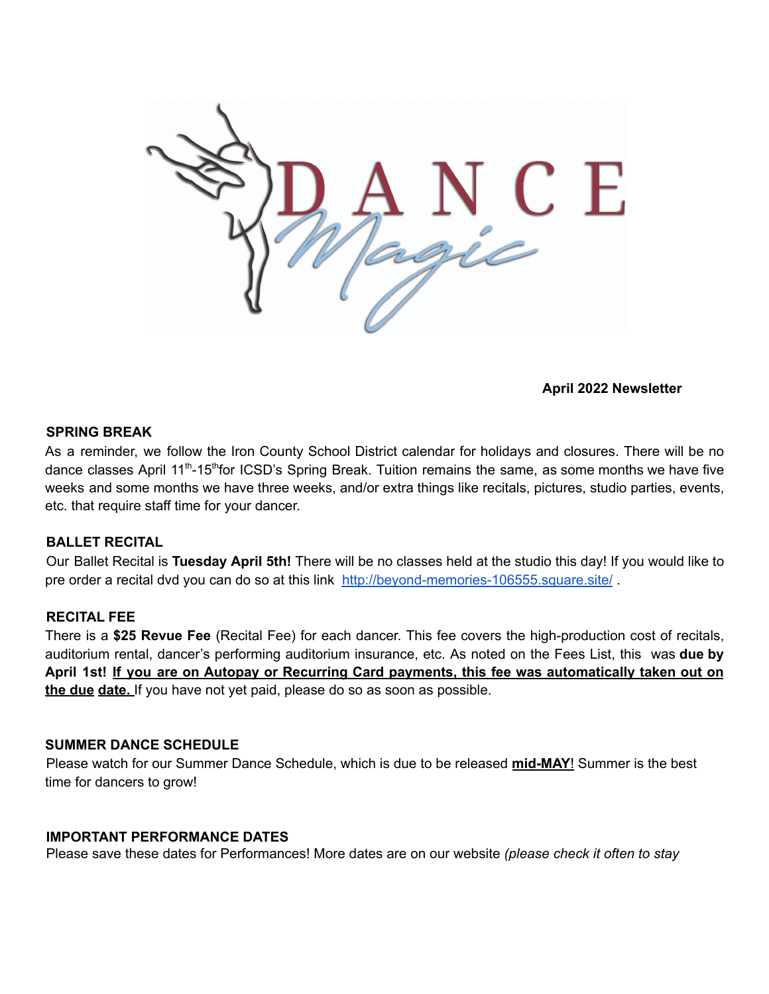

# **April 2022 Newsletter**

#### **SPRING BREAK**

As a reminder, we follow the Iron County School District calendar for holidays and closures. There will be no dance classes April 11<sup>th</sup>-15<sup>th</sup>for ICSD's Spring Break. Tuition remains the same, as some months we have five weeks and some months we have three weeks, and/or extra things like recitals, pictures, studio parties, events, etc. that require staff time for your dancer.

### **BALLET RECITAL**

Our Ballet Recital is **Tuesday April 5th!** There will be no classes held at the studio this day! If you would like to pre order a recital dvd you can do so at this link <http://beyond-memories-106555.square.site/>.

#### **RECITAL FEE**

There is a **\$25 Revue Fee** (Recital Fee) for each dancer. This fee covers the high-production cost of recitals, auditorium rental, dancer's performing auditorium insurance, etc. As noted on the Fees List, this was **due by** April 1st! If you are on Autopay or Recurring Card payments, this fee was automatically taken out on **the due date.** If you have not yet paid, please do so as soon as possible.

### **SUMMER DANCE SCHEDULE**

Please watch for our Summer Dance Schedule, which is due to be released **mid-MAY**! Summer is the best time for dancers to grow!

#### **IMPORTANT PERFORMANCE DATES**

Please save these dates for Performances! More dates are on our website *(please check it often to stay*